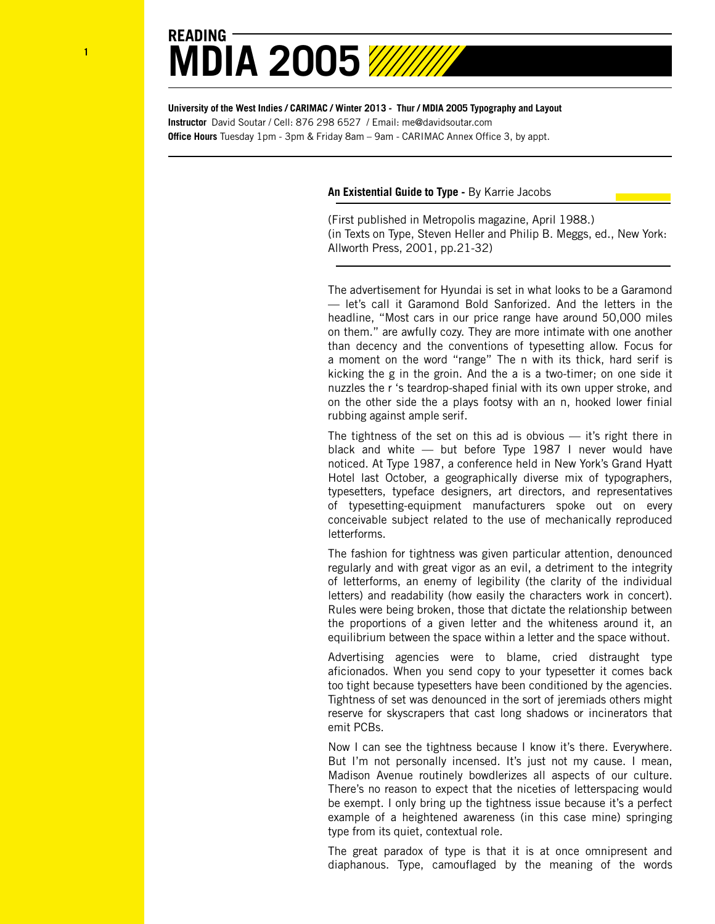## **READING MDIA 2005**

**University of the West Indies / CARIMAC / Winter 2013 - Thur / MDIA 2005 Typography and Layout Instructor** David Soutar / Cell: 876 298 6527 / Email: me@davidsoutar.com **Office Hours** Tuesday 1pm - 3pm & Friday 8am – 9am - CARIMAC Annex Office 3, by appt.

## **An Existential Guide to Type -** By Karrie Jacobs

(First published in Metropolis magazine, April 1988.) (in Texts on Type, Steven Heller and Philip B. Meggs, ed., New York: Allworth Press, 2001, pp.21-32)

The advertisement for Hyundai is set in what looks to be a Garamond — let's call it Garamond Bold Sanforized. And the letters in the headline, "Most cars in our price range have around 50,000 miles on them." are awfully cozy. They are more intimate with one another than decency and the conventions of typesetting allow. Focus for a moment on the word "range" The n with its thick, hard serif is kicking the g in the groin. And the a is a two-timer; on one side it nuzzles the r 's teardrop-shaped finial with its own upper stroke, and on the other side the a plays footsy with an n, hooked lower finial rubbing against ample serif.

The tightness of the set on this ad is obvious — it's right there in black and white — but before Type 1987 I never would have noticed. At Type 1987, a conference held in New York's Grand Hyatt Hotel last October, a geographically diverse mix of typographers, typesetters, typeface designers, art directors, and representatives of typesetting-equipment manufacturers spoke out on every conceivable subject related to the use of mechanically reproduced letterforms.

The fashion for tightness was given particular attention, denounced regularly and with great vigor as an evil, a detriment to the integrity of letterforms, an enemy of legibility (the clarity of the individual letters) and readability (how easily the characters work in concert). Rules were being broken, those that dictate the relationship between the proportions of a given letter and the whiteness around it, an equilibrium between the space within a letter and the space without.

Advertising agencies were to blame, cried distraught type aficionados. When you send copy to your typesetter it comes back too tight because typesetters have been conditioned by the agencies. Tightness of set was denounced in the sort of jeremiads others might reserve for skyscrapers that cast long shadows or incinerators that emit PCBs.

Now I can see the tightness because I know it's there. Everywhere. But I'm not personally incensed. It's just not my cause. I mean, Madison Avenue routinely bowdlerizes all aspects of our culture. There's no reason to expect that the niceties of letterspacing would be exempt. I only bring up the tightness issue because it's a perfect example of a heightened awareness (in this case mine) springing type from its quiet, contextual role.

The great paradox of type is that it is at once omnipresent and diaphanous. Type, camouflaged by the meaning of the words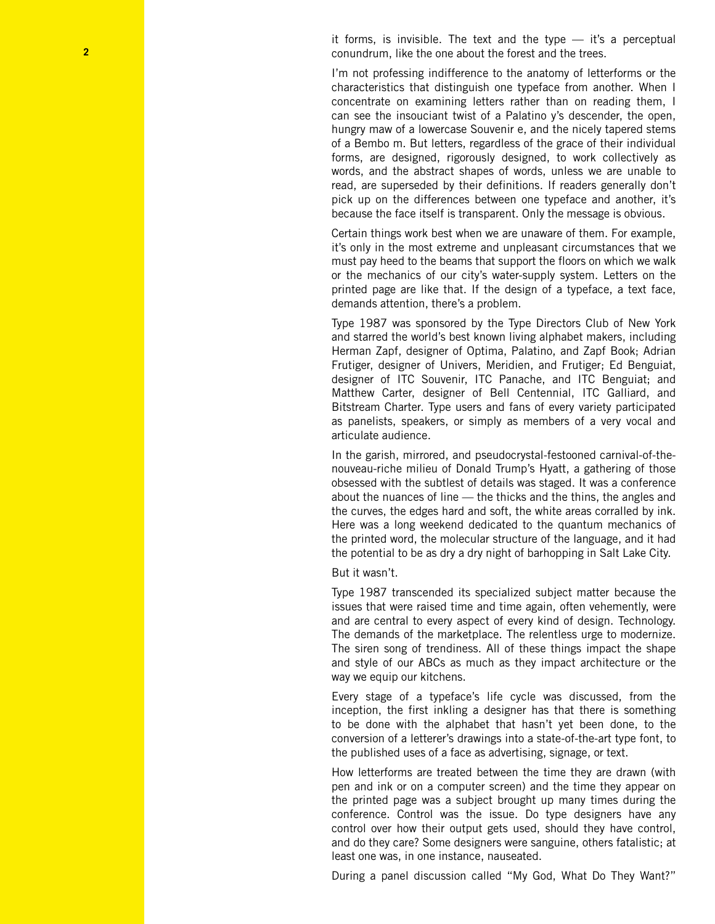it forms, is invisible. The text and the type  $-$  it's a perceptual conundrum, like the one about the forest and the trees.

I'm not professing indifference to the anatomy of letterforms or the characteristics that distinguish one typeface from another. When I concentrate on examining letters rather than on reading them, I can see the insouciant twist of a Palatino y's descender, the open, hungry maw of a lowercase Souvenir e, and the nicely tapered stems of a Bembo m. But letters, regardless of the grace of their individual forms, are designed, rigorously designed, to work collectively as words, and the abstract shapes of words, unless we are unable to read, are superseded by their definitions. If readers generally don't pick up on the differences between one typeface and another, it's because the face itself is transparent. Only the message is obvious.

Certain things work best when we are unaware of them. For example, it's only in the most extreme and unpleasant circumstances that we must pay heed to the beams that support the floors on which we walk or the mechanics of our city's water-supply system. Letters on the printed page are like that. If the design of a typeface, a text face, demands attention, there's a problem.

Type 1987 was sponsored by the Type Directors Club of New York and starred the world's best known living alphabet makers, including Herman Zapf, designer of Optima, Palatino, and Zapf Book; Adrian Frutiger, designer of Univers, Meridien, and Frutiger; Ed Benguiat, designer of ITC Souvenir, ITC Panache, and ITC Benguiat; and Matthew Carter, designer of Bell Centennial, ITC Galliard, and Bitstream Charter. Type users and fans of every variety participated as panelists, speakers, or simply as members of a very vocal and articulate audience.

In the garish, mirrored, and pseudocrystal-festooned carnival-of-thenouveau-riche milieu of Donald Trump's Hyatt, a gathering of those obsessed with the subtlest of details was staged. It was a conference about the nuances of line — the thicks and the thins, the angles and the curves, the edges hard and soft, the white areas corralled by ink. Here was a long weekend dedicated to the quantum mechanics of the printed word, the molecular structure of the language, and it had the potential to be as dry a dry night of barhopping in Salt Lake City.

But it wasn't.

Type 1987 transcended its specialized subject matter because the issues that were raised time and time again, often vehemently, were and are central to every aspect of every kind of design. Technology. The demands of the marketplace. The relentless urge to modernize. The siren song of trendiness. All of these things impact the shape and style of our ABCs as much as they impact architecture or the way we equip our kitchens.

Every stage of a typeface's life cycle was discussed, from the inception, the first inkling a designer has that there is something to be done with the alphabet that hasn't yet been done, to the conversion of a letterer's drawings into a state-of-the-art type font, to the published uses of a face as advertising, signage, or text.

How letterforms are treated between the time they are drawn (with pen and ink or on a computer screen) and the time they appear on the printed page was a subject brought up many times during the conference. Control was the issue. Do type designers have any control over how their output gets used, should they have control, and do they care? Some designers were sanguine, others fatalistic; at least one was, in one instance, nauseated.

During a panel discussion called "My God, What Do They Want?"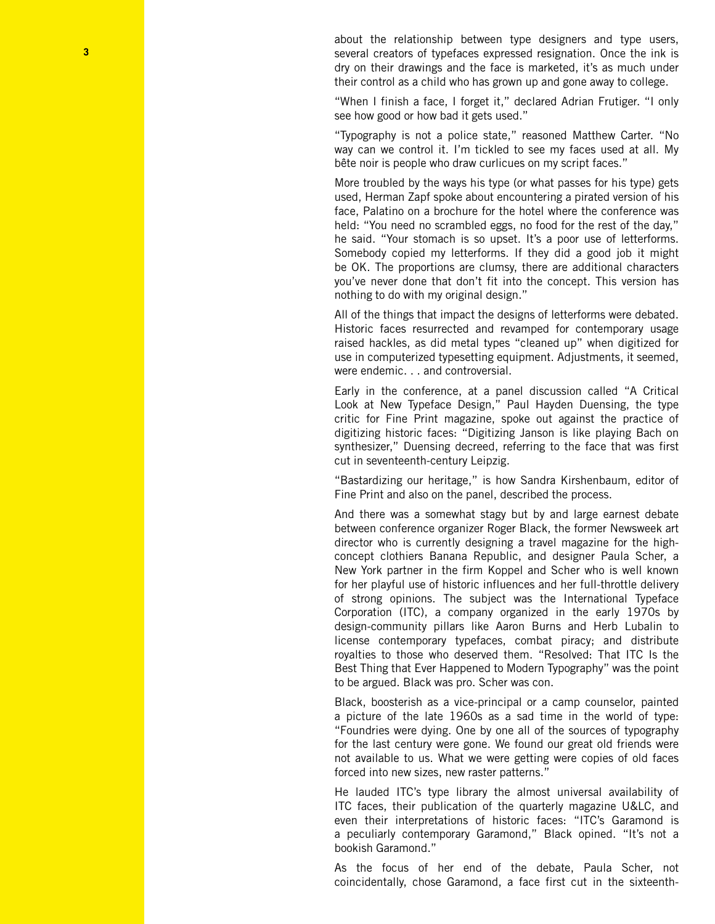about the relationship between type designers and type users, several creators of typefaces expressed resignation. Once the ink is dry on their drawings and the face is marketed, it's as much under their control as a child who has grown up and gone away to college.

"When I finish a face, I forget it," declared Adrian Frutiger. "I only see how good or how bad it gets used."

"Typography is not a police state," reasoned Matthew Carter. "No way can we control it. I'm tickled to see my faces used at all. My bête noir is people who draw curlicues on my script faces."

More troubled by the ways his type (or what passes for his type) gets used, Herman Zapf spoke about encountering a pirated version of his face, Palatino on a brochure for the hotel where the conference was held: "You need no scrambled eggs, no food for the rest of the day," he said. "Your stomach is so upset. It's a poor use of letterforms. Somebody copied my letterforms. If they did a good job it might be OK. The proportions are clumsy, there are additional characters you've never done that don't fit into the concept. This version has nothing to do with my original design."

All of the things that impact the designs of letterforms were debated. Historic faces resurrected and revamped for contemporary usage raised hackles, as did metal types "cleaned up" when digitized for use in computerized typesetting equipment. Adjustments, it seemed, were endemic. . . and controversial.

Early in the conference, at a panel discussion called "A Critical Look at New Typeface Design," Paul Hayden Duensing, the type critic for Fine Print magazine, spoke out against the practice of digitizing historic faces: "Digitizing Janson is like playing Bach on synthesizer," Duensing decreed, referring to the face that was first cut in seventeenth-century Leipzig.

"Bastardizing our heritage," is how Sandra Kirshenbaum, editor of Fine Print and also on the panel, described the process.

And there was a somewhat stagy but by and large earnest debate between conference organizer Roger Black, the former Newsweek art director who is currently designing a travel magazine for the highconcept clothiers Banana Republic, and designer Paula Scher, a New York partner in the firm Koppel and Scher who is well known for her playful use of historic influences and her full-throttle delivery of strong opinions. The subject was the International Typeface Corporation (ITC), a company organized in the early 1970s by design-community pillars like Aaron Burns and Herb Lubalin to license contemporary typefaces, combat piracy; and distribute royalties to those who deserved them. "Resolved: That ITC Is the Best Thing that Ever Happened to Modern Typography" was the point to be argued. Black was pro. Scher was con.

Black, boosterish as a vice-principal or a camp counselor, painted a picture of the late 1960s as a sad time in the world of type: "Foundries were dying. One by one all of the sources of typography for the last century were gone. We found our great old friends were not available to us. What we were getting were copies of old faces forced into new sizes, new raster patterns."

He lauded ITC's type library the almost universal availability of ITC faces, their publication of the quarterly magazine U&LC, and even their interpretations of historic faces: "ITC's Garamond is a peculiarly contemporary Garamond," Black opined. "It's not a bookish Garamond."

As the focus of her end of the debate, Paula Scher, not coincidentally, chose Garamond, a face first cut in the sixteenth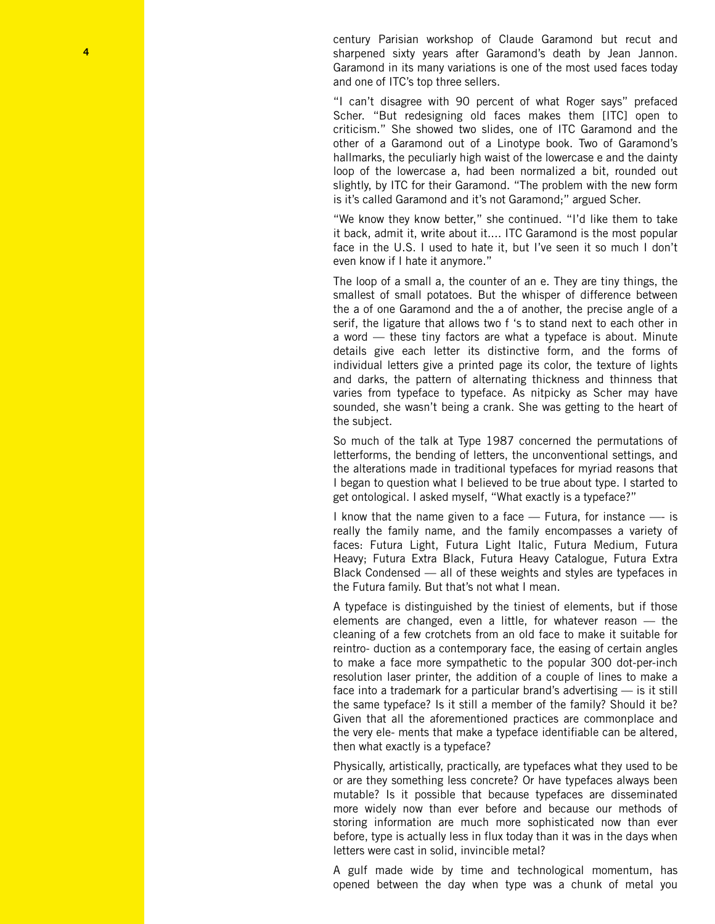century Parisian workshop of Claude Garamond but recut and sharpened sixty years after Garamond's death by Jean Jannon. Garamond in its many variations is one of the most used faces today and one of ITC's top three sellers.

"I can't disagree with 90 percent of what Roger says" prefaced Scher. "But redesigning old faces makes them [ITC] open to criticism." She showed two slides, one of ITC Garamond and the other of a Garamond out of a Linotype book. Two of Garamond's hallmarks, the peculiarly high waist of the lowercase e and the dainty loop of the lowercase a, had been normalized a bit, rounded out slightly, by ITC for their Garamond. "The problem with the new form is it's called Garamond and it's not Garamond;" argued Scher.

"We know they know better," she continued. "I'd like them to take it back, admit it, write about it.... ITC Garamond is the most popular face in the U.S. I used to hate it, but I've seen it so much I don't even know if I hate it anymore."

The loop of a small a, the counter of an e. They are tiny things, the smallest of small potatoes. But the whisper of difference between the a of one Garamond and the a of another, the precise angle of a serif, the ligature that allows two f 's to stand next to each other in a word — these tiny factors are what a typeface is about. Minute details give each letter its distinctive form, and the forms of individual letters give a printed page its color, the texture of lights and darks, the pattern of alternating thickness and thinness that varies from typeface to typeface. As nitpicky as Scher may have sounded, she wasn't being a crank. She was getting to the heart of the subject.

So much of the talk at Type 1987 concerned the permutations of letterforms, the bending of letters, the unconventional settings, and the alterations made in traditional typefaces for myriad reasons that I began to question what I believed to be true about type. I started to get ontological. I asked myself, "What exactly is a typeface?"

I know that the name given to a face — Futura, for instance —- is really the family name, and the family encompasses a variety of faces: Futura Light, Futura Light Italic, Futura Medium, Futura Heavy; Futura Extra Black, Futura Heavy Catalogue, Futura Extra Black Condensed — all of these weights and styles are typefaces in the Futura family. But that's not what I mean.

A typeface is distinguished by the tiniest of elements, but if those elements are changed, even a little, for whatever reason — the cleaning of a few crotchets from an old face to make it suitable for reintro- duction as a contemporary face, the easing of certain angles to make a face more sympathetic to the popular 300 dot-per-inch resolution laser printer, the addition of a couple of lines to make a face into a trademark for a particular brand's advertising — is it still the same typeface? Is it still a member of the family? Should it be? Given that all the aforementioned practices are commonplace and the very ele- ments that make a typeface identifiable can be altered, then what exactly is a typeface?

Physically, artistically, practically, are typefaces what they used to be or are they something less concrete? Or have typefaces always been mutable? Is it possible that because typefaces are disseminated more widely now than ever before and because our methods of storing information are much more sophisticated now than ever before, type is actually less in flux today than it was in the days when letters were cast in solid, invincible metal?

A gulf made wide by time and technological momentum, has opened between the day when type was a chunk of metal you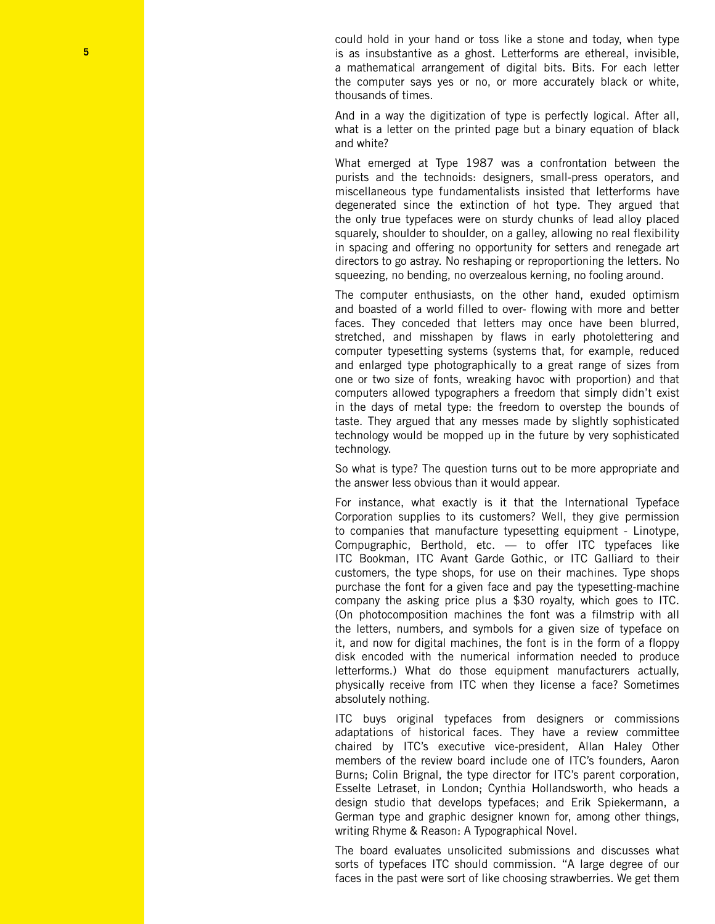could hold in your hand or toss like a stone and today, when type is as insubstantive as a ghost. Letterforms are ethereal, invisible, a mathematical arrangement of digital bits. Bits. For each letter the computer says yes or no, or more accurately black or white, thousands of times.

And in a way the digitization of type is perfectly logical. After all, what is a letter on the printed page but a binary equation of black and white?

What emerged at Type 1987 was a confrontation between the purists and the technoids: designers, small-press operators, and miscellaneous type fundamentalists insisted that letterforms have degenerated since the extinction of hot type. They argued that the only true typefaces were on sturdy chunks of lead alloy placed squarely, shoulder to shoulder, on a galley, allowing no real flexibility in spacing and offering no opportunity for setters and renegade art directors to go astray. No reshaping or reproportioning the letters. No squeezing, no bending, no overzealous kerning, no fooling around.

The computer enthusiasts, on the other hand, exuded optimism and boasted of a world filled to over- flowing with more and better faces. They conceded that letters may once have been blurred, stretched, and misshapen by flaws in early photolettering and computer typesetting systems (systems that, for example, reduced and enlarged type photographically to a great range of sizes from one or two size of fonts, wreaking havoc with proportion) and that computers allowed typographers a freedom that simply didn't exist in the days of metal type: the freedom to overstep the bounds of taste. They argued that any messes made by slightly sophisticated technology would be mopped up in the future by very sophisticated technology.

So what is type? The question turns out to be more appropriate and the answer less obvious than it would appear.

For instance, what exactly is it that the International Typeface Corporation supplies to its customers? Well, they give permission to companies that manufacture typesetting equipment - Linotype, Compugraphic, Berthold, etc.  $-$  to offer ITC typefaces like ITC Bookman, ITC Avant Garde Gothic, or ITC Galliard to their customers, the type shops, for use on their machines. Type shops purchase the font for a given face and pay the typesetting-machine company the asking price plus a \$30 royalty, which goes to ITC. (On photocomposition machines the font was a filmstrip with all the letters, numbers, and symbols for a given size of typeface on it, and now for digital machines, the font is in the form of a floppy disk encoded with the numerical information needed to produce letterforms.) What do those equipment manufacturers actually, physically receive from ITC when they license a face? Sometimes absolutely nothing.

ITC buys original typefaces from designers or commissions adaptations of historical faces. They have a review committee chaired by ITC's executive vice-president, Allan Haley Other members of the review board include one of ITC's founders, Aaron Burns; Colin Brignal, the type director for ITC's parent corporation, Esselte Letraset, in London; Cynthia Hollandsworth, who heads a design studio that develops typefaces; and Erik Spiekermann, a German type and graphic designer known for, among other things, writing Rhyme & Reason: A Typographical Novel.

The board evaluates unsolicited submissions and discusses what sorts of typefaces ITC should commission. "A large degree of our faces in the past were sort of like choosing strawberries. We get them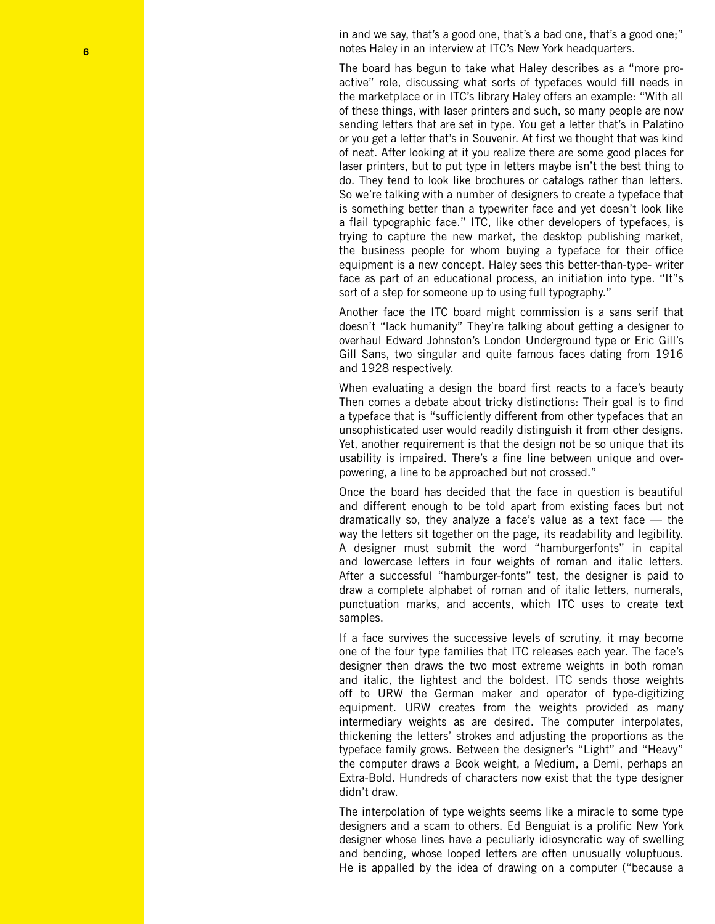in and we say, that's a good one, that's a bad one, that's a good one;" notes Haley in an interview at ITC's New York headquarters.

The board has begun to take what Haley describes as a "more proactive" role, discussing what sorts of typefaces would fill needs in the marketplace or in ITC's library Haley offers an example: "With all of these things, with laser printers and such, so many people are now sending letters that are set in type. You get a letter that's in Palatino or you get a letter that's in Souvenir. At first we thought that was kind of neat. After looking at it you realize there are some good places for laser printers, but to put type in letters maybe isn't the best thing to do. They tend to look like brochures or catalogs rather than letters. So we're talking with a number of designers to create a typeface that is something better than a typewriter face and yet doesn't look like a flail typographic face." ITC, like other developers of typefaces, is trying to capture the new market, the desktop publishing market, the business people for whom buying a typeface for their office equipment is a new concept. Haley sees this better-than-type- writer face as part of an educational process, an initiation into type. "It"s sort of a step for someone up to using full typography."

Another face the ITC board might commission is a sans serif that doesn't "lack humanity" They're talking about getting a designer to overhaul Edward Johnston's London Underground type or Eric Gill's Gill Sans, two singular and quite famous faces dating from 1916 and 1928 respectively.

When evaluating a design the board first reacts to a face's beauty Then comes a debate about tricky distinctions: Their goal is to find a typeface that is "sufficiently different from other typefaces that an unsophisticated user would readily distinguish it from other designs. Yet, another requirement is that the design not be so unique that its usability is impaired. There's a fine line between unique and overpowering, a line to be approached but not crossed."

Once the board has decided that the face in question is beautiful and different enough to be told apart from existing faces but not dramatically so, they analyze a face's value as a text face — the way the letters sit together on the page, its readability and legibility. A designer must submit the word "hamburgerfonts" in capital and lowercase letters in four weights of roman and italic letters. After a successful "hamburger-fonts" test, the designer is paid to draw a complete alphabet of roman and of italic letters, numerals, punctuation marks, and accents, which ITC uses to create text samples.

If a face survives the successive levels of scrutiny, it may become one of the four type families that ITC releases each year. The face's designer then draws the two most extreme weights in both roman and italic, the lightest and the boldest. ITC sends those weights off to URW the German maker and operator of type-digitizing equipment. URW creates from the weights provided as many intermediary weights as are desired. The computer interpolates, thickening the letters' strokes and adjusting the proportions as the typeface family grows. Between the designer's "Light" and "Heavy" the computer draws a Book weight, a Medium, a Demi, perhaps an Extra-Bold. Hundreds of characters now exist that the type designer didn't draw.

The interpolation of type weights seems like a miracle to some type designers and a scam to others. Ed Benguiat is a prolific New York designer whose lines have a peculiarly idiosyncratic way of swelling and bending, whose looped letters are often unusually voluptuous. He is appalled by the idea of drawing on a computer ("because a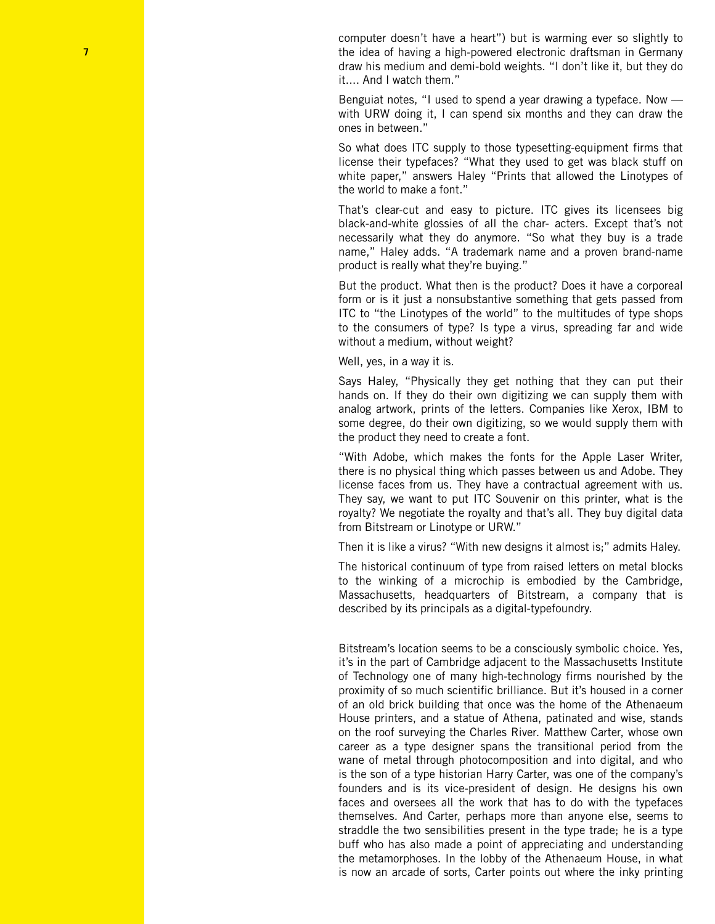computer doesn't have a heart") but is warming ever so slightly to the idea of having a high-powered electronic draftsman in Germany draw his medium and demi-bold weights. "I don't like it, but they do it. And I watch them."

Benguiat notes, "I used to spend a year drawing a typeface. Now with URW doing it, I can spend six months and they can draw the ones in between."

So what does ITC supply to those typesetting-equipment firms that license their typefaces? "What they used to get was black stuff on white paper," answers Haley "Prints that allowed the Linotypes of the world to make a font."

That's clear-cut and easy to picture. ITC gives its licensees big black-and-white glossies of all the char- acters. Except that's not necessarily what they do anymore. "So what they buy is a trade name," Haley adds. "A trademark name and a proven brand-name product is really what they're buying."

But the product. What then is the product? Does it have a corporeal form or is it just a nonsubstantive something that gets passed from ITC to "the Linotypes of the world" to the multitudes of type shops to the consumers of type? Is type a virus, spreading far and wide without a medium, without weight?

Well, yes, in a way it is.

Says Haley, "Physically they get nothing that they can put their hands on. If they do their own digitizing we can supply them with analog artwork, prints of the letters. Companies like Xerox, IBM to some degree, do their own digitizing, so we would supply them with the product they need to create a font.

"With Adobe, which makes the fonts for the Apple Laser Writer, there is no physical thing which passes between us and Adobe. They license faces from us. They have a contractual agreement with us. They say, we want to put ITC Souvenir on this printer, what is the royalty? We negotiate the royalty and that's all. They buy digital data from Bitstream or Linotype or URW."

Then it is like a virus? "With new designs it almost is;" admits Haley.

The historical continuum of type from raised letters on metal blocks to the winking of a microchip is embodied by the Cambridge, Massachusetts, headquarters of Bitstream, a company that is described by its principals as a digital-typefoundry.

Bitstream's location seems to be a consciously symbolic choice. Yes, it's in the part of Cambridge adjacent to the Massachusetts Institute of Technology one of many high-technology firms nourished by the proximity of so much scientific brilliance. But it's housed in a corner of an old brick building that once was the home of the Athenaeum House printers, and a statue of Athena, patinated and wise, stands on the roof surveying the Charles River. Matthew Carter, whose own career as a type designer spans the transitional period from the wane of metal through photocomposition and into digital, and who is the son of a type historian Harry Carter, was one of the company's founders and is its vice-president of design. He designs his own faces and oversees all the work that has to do with the typefaces themselves. And Carter, perhaps more than anyone else, seems to straddle the two sensibilities present in the type trade; he is a type buff who has also made a point of appreciating and understanding the metamorphoses. In the lobby of the Athenaeum House, in what is now an arcade of sorts, Carter points out where the inky printing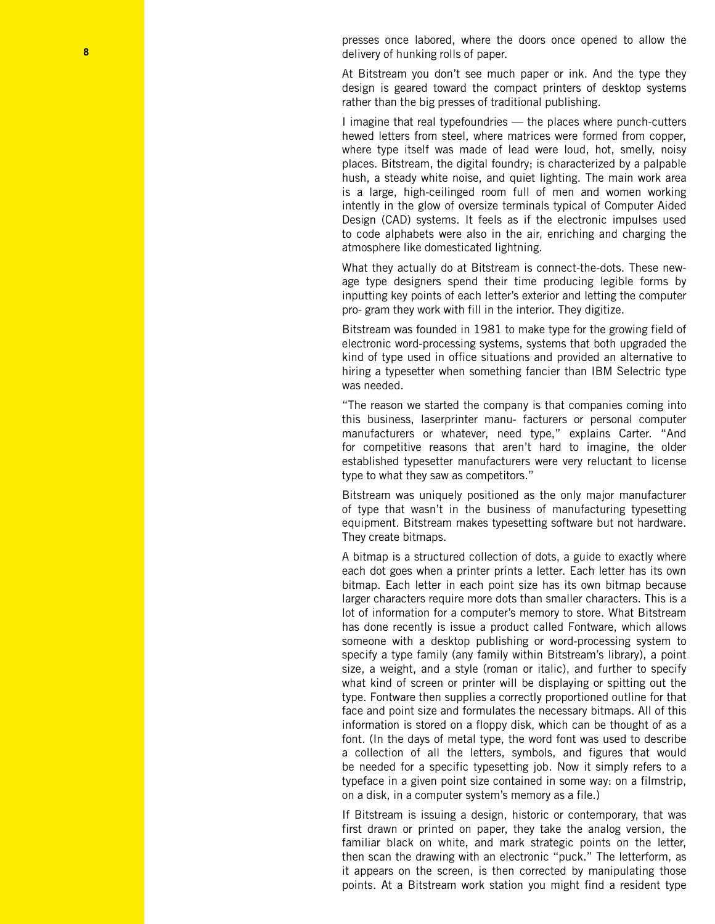presses once labored, where the doors once opened to allow the delivery of hunking rolls of paper.

At Bitstream you don't see much paper or ink. And the type they design is geared toward the compact printers of desktop systems rather than the big presses of traditional publishing.

I imagine that real typefoundries — the places where punch-cutters hewed letters from steel, where matrices were formed from copper, where type itself was made of lead were loud, hot, smelly, noisy places. Bitstream, the digital foundry; is characterized by a palpable hush, a steady white noise, and quiet lighting. The main work area is a large, high-ceilinged room full of men and women working intently in the glow of oversize terminals typical of Computer Aided Design (CAD) systems. It feels as if the electronic impulses used to code alphabets were also in the air, enriching and charging the atmosphere like domesticated lightning.

What they actually do at Bitstream is connect-the-dots. These newage type designers spend their time producing legible forms by inputting key points of each letter's exterior and letting the computer pro- gram they work with fill in the interior. They digitize.

Bitstream was founded in 1981 to make type for the growing field of electronic word-processing systems, systems that both upgraded the kind of type used in office situations and provided an alternative to hiring a typesetter when something fancier than IBM Selectric type was needed.

"The reason we started the company is that companies coming into this business, laserprinter manu- facturers or personal computer manufacturers or whatever, need type," explains Carter. "And for competitive reasons that aren't hard to imagine, the older established typesetter manufacturers were very reluctant to license type to what they saw as competitors."

Bitstream was uniquely positioned as the only major manufacturer of type that wasn't in the business of manufacturing typesetting equipment. Bitstream makes typesetting software but not hardware. They create bitmaps.

A bitmap is a structured collection of dots, a guide to exactly where each dot goes when a printer prints a letter. Each letter has its own bitmap. Each letter in each point size has its own bitmap because larger characters require more dots than smaller characters. This is a lot of information for a computer's memory to store. What Bitstream has done recently is issue a product called Fontware, which allows someone with a desktop publishing or word-processing system to specify a type family (any family within Bitstream's library), a point size, a weight, and a style (roman or italic), and further to specify what kind of screen or printer will be displaying or spitting out the type. Fontware then supplies a correctly proportioned outline for that face and point size and formulates the necessary bitmaps. All of this information is stored on a floppy disk, which can be thought of as a font. (In the days of metal type, the word font was used to describe a collection of all the letters, symbols, and figures that would be needed for a specific typesetting job. Now it simply refers to a typeface in a given point size contained in some way: on a filmstrip, on a disk, in a computer system's memory as a file.)

If Bitstream is issuing a design, historic or contemporary, that was first drawn or printed on paper, they take the analog version, the familiar black on white, and mark strategic points on the letter, then scan the drawing with an electronic "puck." The letterform, as it appears on the screen, is then corrected by manipulating those points. At a Bitstream work station you might find a resident type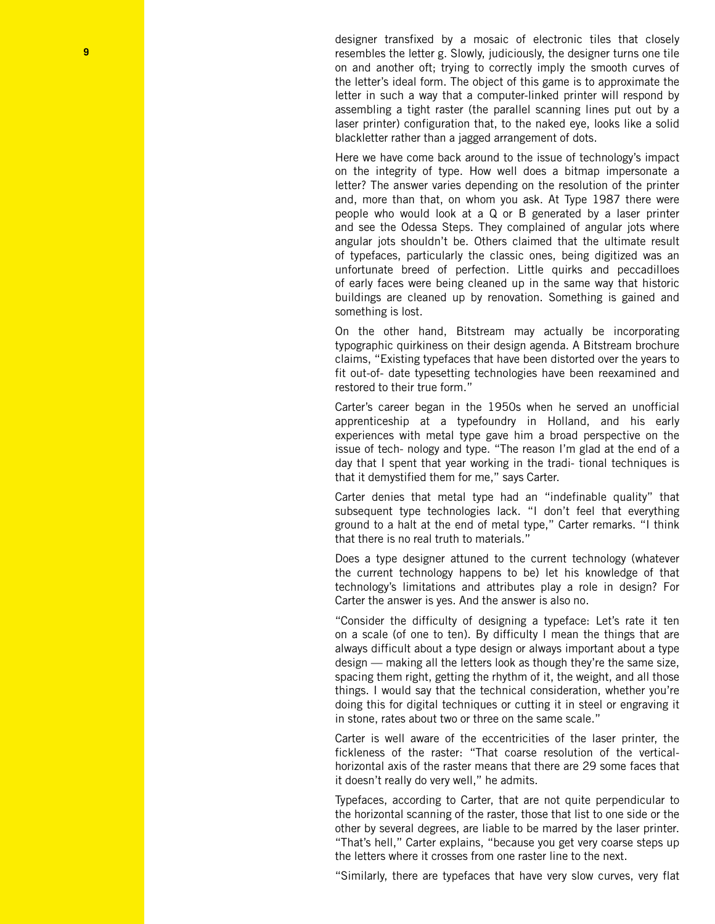designer transfixed by a mosaic of electronic tiles that closely resembles the letter g. Slowly, judiciously, the designer turns one tile on and another oft; trying to correctly imply the smooth curves of the letter's ideal form. The object of this game is to approximate the letter in such a way that a computer-linked printer will respond by assembling a tight raster (the parallel scanning lines put out by a laser printer) configuration that, to the naked eye, looks like a solid blackletter rather than a jagged arrangement of dots.

Here we have come back around to the issue of technology's impact on the integrity of type. How well does a bitmap impersonate a letter? The answer varies depending on the resolution of the printer and, more than that, on whom you ask. At Type 1987 there were people who would look at a Q or B generated by a laser printer and see the Odessa Steps. They complained of angular jots where angular jots shouldn't be. Others claimed that the ultimate result of typefaces, particularly the classic ones, being digitized was an unfortunate breed of perfection. Little quirks and peccadilloes of early faces were being cleaned up in the same way that historic buildings are cleaned up by renovation. Something is gained and something is lost.

On the other hand, Bitstream may actually be incorporating typographic quirkiness on their design agenda. A Bitstream brochure claims, "Existing typefaces that have been distorted over the years to fit out-of- date typesetting technologies have been reexamined and restored to their true form."

Carter's career began in the 1950s when he served an unofficial apprenticeship at a typefoundry in Holland, and his early experiences with metal type gave him a broad perspective on the issue of tech- nology and type. "The reason I'm glad at the end of a day that I spent that year working in the tradi- tional techniques is that it demystified them for me," says Carter.

Carter denies that metal type had an "indefinable quality" that subsequent type technologies lack. "I don't feel that everything ground to a halt at the end of metal type," Carter remarks. "I think that there is no real truth to materials."

Does a type designer attuned to the current technology (whatever the current technology happens to be) let his knowledge of that technology's limitations and attributes play a role in design? For Carter the answer is yes. And the answer is also no.

"Consider the difficulty of designing a typeface: Let's rate it ten on a scale (of one to ten). By difficulty I mean the things that are always difficult about a type design or always important about a type design — making all the letters look as though they're the same size, spacing them right, getting the rhythm of it, the weight, and all those things. I would say that the technical consideration, whether you're doing this for digital techniques or cutting it in steel or engraving it in stone, rates about two or three on the same scale."

Carter is well aware of the eccentricities of the laser printer, the fickleness of the raster: "That coarse resolution of the verticalhorizontal axis of the raster means that there are 29 some faces that it doesn't really do very well," he admits.

Typefaces, according to Carter, that are not quite perpendicular to the horizontal scanning of the raster, those that list to one side or the other by several degrees, are liable to be marred by the laser printer. "That's hell," Carter explains, "because you get very coarse steps up the letters where it crosses from one raster line to the next.

"Similarly, there are typefaces that have very slow curves, very flat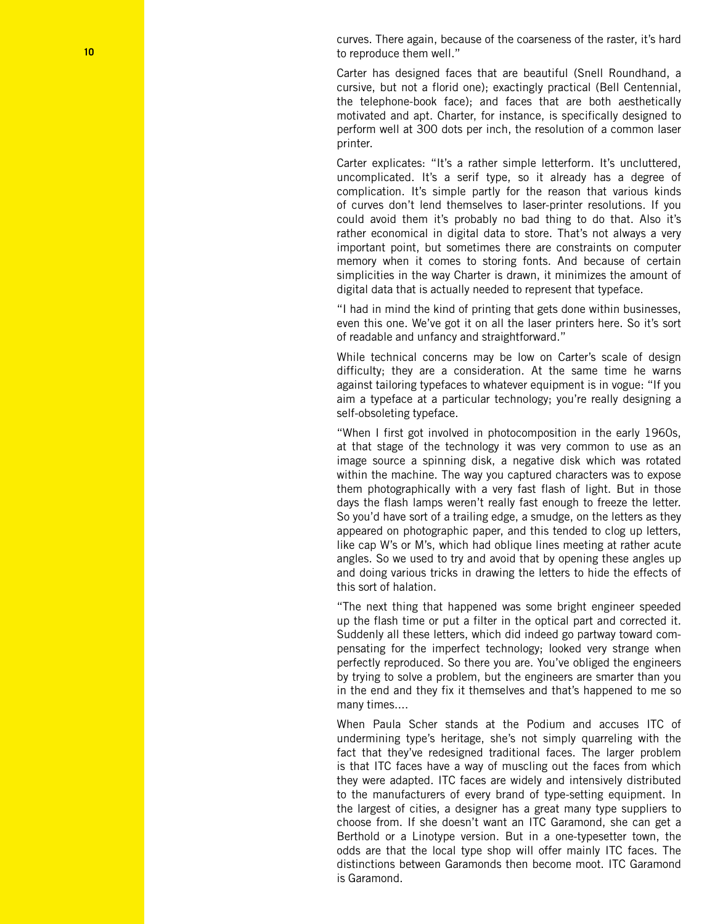curves. There again, because of the coarseness of the raster, it's hard to reproduce them well."

Carter has designed faces that are beautiful (Snell Roundhand, a cursive, but not a florid one); exactingly practical (Bell Centennial, the telephone-book face); and faces that are both aesthetically motivated and apt. Charter, for instance, is specifically designed to perform well at 300 dots per inch, the resolution of a common laser printer.

Carter explicates: "It's a rather simple letterform. It's uncluttered, uncomplicated. It's a serif type, so it already has a degree of complication. It's simple partly for the reason that various kinds of curves don't lend themselves to laser-printer resolutions. If you could avoid them it's probably no bad thing to do that. Also it's rather economical in digital data to store. That's not always a very important point, but sometimes there are constraints on computer memory when it comes to storing fonts. And because of certain simplicities in the way Charter is drawn, it minimizes the amount of digital data that is actually needed to represent that typeface.

"I had in mind the kind of printing that gets done within businesses, even this one. We've got it on all the laser printers here. So it's sort of readable and unfancy and straightforward."

While technical concerns may be low on Carter's scale of design difficulty; they are a consideration. At the same time he warns against tailoring typefaces to whatever equipment is in vogue: "If you aim a typeface at a particular technology; you're really designing a self-obsoleting typeface.

"When I first got involved in photocomposition in the early 1960s, at that stage of the technology it was very common to use as an image source a spinning disk, a negative disk which was rotated within the machine. The way you captured characters was to expose them photographically with a very fast flash of light. But in those days the flash lamps weren't really fast enough to freeze the letter. So you'd have sort of a trailing edge, a smudge, on the letters as they appeared on photographic paper, and this tended to clog up letters, like cap W's or M's, which had oblique lines meeting at rather acute angles. So we used to try and avoid that by opening these angles up and doing various tricks in drawing the letters to hide the effects of this sort of halation.

"The next thing that happened was some bright engineer speeded up the flash time or put a filter in the optical part and corrected it. Suddenly all these letters, which did indeed go partway toward compensating for the imperfect technology; looked very strange when perfectly reproduced. So there you are. You've obliged the engineers by trying to solve a problem, but the engineers are smarter than you in the end and they fix it themselves and that's happened to me so many times....

When Paula Scher stands at the Podium and accuses ITC of undermining type's heritage, she's not simply quarreling with the fact that they've redesigned traditional faces. The larger problem is that ITC faces have a way of muscling out the faces from which they were adapted. ITC faces are widely and intensively distributed to the manufacturers of every brand of type-setting equipment. In the largest of cities, a designer has a great many type suppliers to choose from. If she doesn't want an ITC Garamond, she can get a Berthold or a Linotype version. But in a one-typesetter town, the odds are that the local type shop will offer mainly ITC faces. The distinctions between Garamonds then become moot. ITC Garamond is Garamond.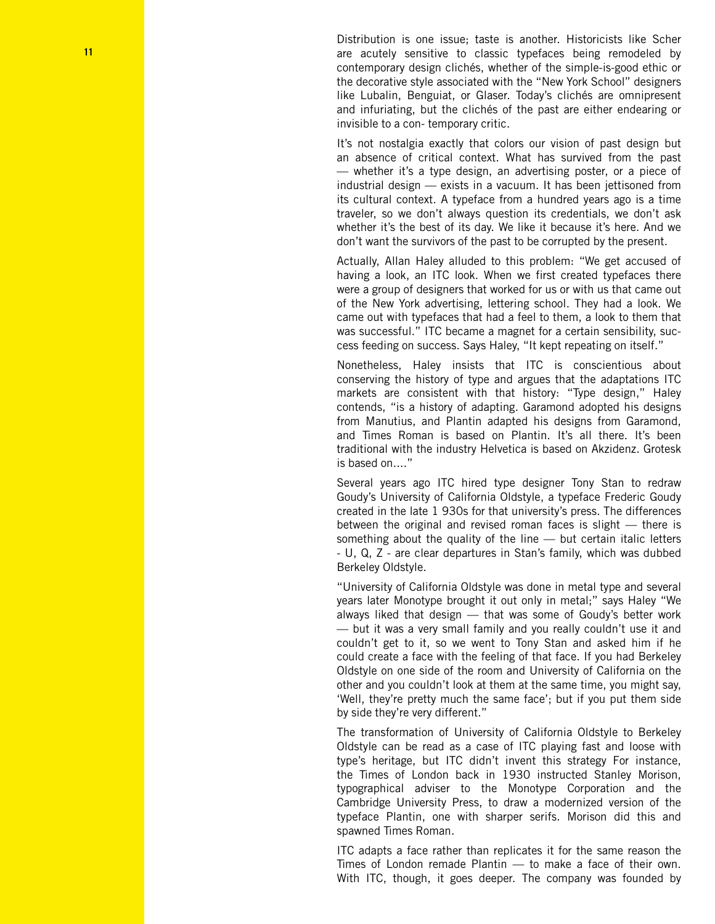Distribution is one issue; taste is another. Historicists like Scher are acutely sensitive to classic typefaces being remodeled by contemporary design clichés, whether of the simple-is-good ethic or the decorative style associated with the "New York School" designers like Lubalin, Benguiat, or Glaser. Today's clichés are omnipresent and infuriating, but the clichés of the past are either endearing or invisible to a con- temporary critic.

It's not nostalgia exactly that colors our vision of past design but an absence of critical context. What has survived from the past — whether it's a type design, an advertising poster, or a piece of industrial design — exists in a vacuum. It has been jettisoned from its cultural context. A typeface from a hundred years ago is a time traveler, so we don't always question its credentials, we don't ask whether it's the best of its day. We like it because it's here. And we don't want the survivors of the past to be corrupted by the present.

Actually, Allan Haley alluded to this problem: "We get accused of having a look, an ITC look. When we first created typefaces there were a group of designers that worked for us or with us that came out of the New York advertising, lettering school. They had a look. We came out with typefaces that had a feel to them, a look to them that was successful." ITC became a magnet for a certain sensibility, success feeding on success. Says Haley, "It kept repeating on itself."

Nonetheless, Haley insists that ITC is conscientious about conserving the history of type and argues that the adaptations ITC markets are consistent with that history: "Type design," Haley contends, "is a history of adapting. Garamond adopted his designs from Manutius, and Plantin adapted his designs from Garamond, and Times Roman is based on Plantin. It's all there. It's been traditional with the industry Helvetica is based on Akzidenz. Grotesk is based on...."

Several years ago ITC hired type designer Tony Stan to redraw Goudy's University of California Oldstyle, a typeface Frederic Goudy created in the late 1 930s for that university's press. The differences between the original and revised roman faces is slight — there is something about the quality of the line — but certain italic letters - U, Q, Z - are clear departures in Stan's family, which was dubbed Berkeley Oldstyle.

"University of California Oldstyle was done in metal type and several years later Monotype brought it out only in metal;" says Haley "We always liked that design — that was some of Goudy's better work — but it was a very small family and you really couldn't use it and couldn't get to it, so we went to Tony Stan and asked him if he could create a face with the feeling of that face. If you had Berkeley Oldstyle on one side of the room and University of California on the other and you couldn't look at them at the same time, you might say, 'Well, they're pretty much the same face'; but if you put them side by side they're very different."

The transformation of University of California Oldstyle to Berkeley Oldstyle can be read as a case of ITC playing fast and loose with type's heritage, but ITC didn't invent this strategy For instance, the Times of London back in 1930 instructed Stanley Morison, typographical adviser to the Monotype Corporation and the Cambridge University Press, to draw a modernized version of the typeface Plantin, one with sharper serifs. Morison did this and spawned Times Roman.

ITC adapts a face rather than replicates it for the same reason the Times of London remade Plantin — to make a face of their own. With ITC, though, it goes deeper. The company was founded by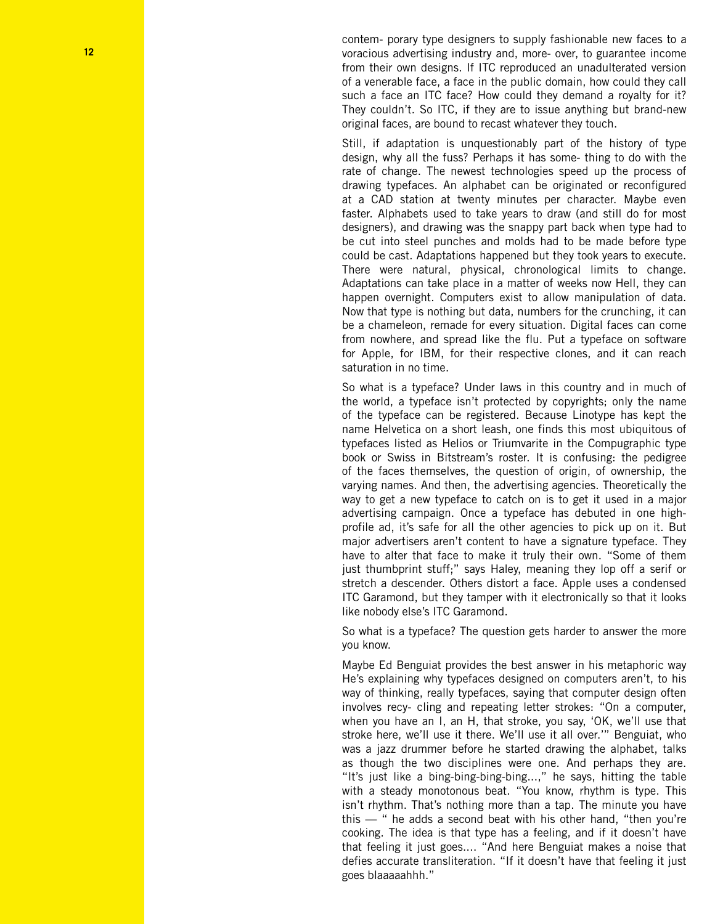contem- porary type designers to supply fashionable new faces to a voracious advertising industry and, more- over, to guarantee income from their own designs. If ITC reproduced an unadulterated version of a venerable face, a face in the public domain, how could they call such a face an ITC face? How could they demand a royalty for it? They couldn't. So ITC, if they are to issue anything but brand-new original faces, are bound to recast whatever they touch.

Still, if adaptation is unquestionably part of the history of type design, why all the fuss? Perhaps it has some- thing to do with the rate of change. The newest technologies speed up the process of drawing typefaces. An alphabet can be originated or reconfigured at a CAD station at twenty minutes per character. Maybe even faster. Alphabets used to take years to draw (and still do for most designers), and drawing was the snappy part back when type had to be cut into steel punches and molds had to be made before type could be cast. Adaptations happened but they took years to execute. There were natural, physical, chronological limits to change. Adaptations can take place in a matter of weeks now Hell, they can happen overnight. Computers exist to allow manipulation of data. Now that type is nothing but data, numbers for the crunching, it can be a chameleon, remade for every situation. Digital faces can come from nowhere, and spread like the flu. Put a typeface on software for Apple, for IBM, for their respective clones, and it can reach saturation in no time.

So what is a typeface? Under laws in this country and in much of the world, a typeface isn't protected by copyrights; only the name of the typeface can be registered. Because Linotype has kept the name Helvetica on a short leash, one finds this most ubiquitous of typefaces listed as Helios or Triumvarite in the Compugraphic type book or Swiss in Bitstream's roster. It is confusing: the pedigree of the faces themselves, the question of origin, of ownership, the varying names. And then, the advertising agencies. Theoretically the way to get a new typeface to catch on is to get it used in a major advertising campaign. Once a typeface has debuted in one highprofile ad, it's safe for all the other agencies to pick up on it. But major advertisers aren't content to have a signature typeface. They have to alter that face to make it truly their own. "Some of them just thumbprint stuff;" says Haley, meaning they lop off a serif or stretch a descender. Others distort a face. Apple uses a condensed ITC Garamond, but they tamper with it electronically so that it looks like nobody else's ITC Garamond.

So what is a typeface? The question gets harder to answer the more you know.

Maybe Ed Benguiat provides the best answer in his metaphoric way He's explaining why typefaces designed on computers aren't, to his way of thinking, really typefaces, saying that computer design often involves recy- cling and repeating letter strokes: "On a computer, when you have an I, an H, that stroke, you say, 'OK, we'll use that stroke here, we'll use it there. We'll use it all over.'" Benguiat, who was a jazz drummer before he started drawing the alphabet, talks as though the two disciplines were one. And perhaps they are. "It's just like a bing-bing-bing-bing...," he says, hitting the table with a steady monotonous beat. "You know, rhythm is type. This isn't rhythm. That's nothing more than a tap. The minute you have this — " he adds a second beat with his other hand, "then you're cooking. The idea is that type has a feeling, and if it doesn't have that feeling it just goes.... "And here Benguiat makes a noise that defies accurate transliteration. "If it doesn't have that feeling it just goes blaaaaahhh."